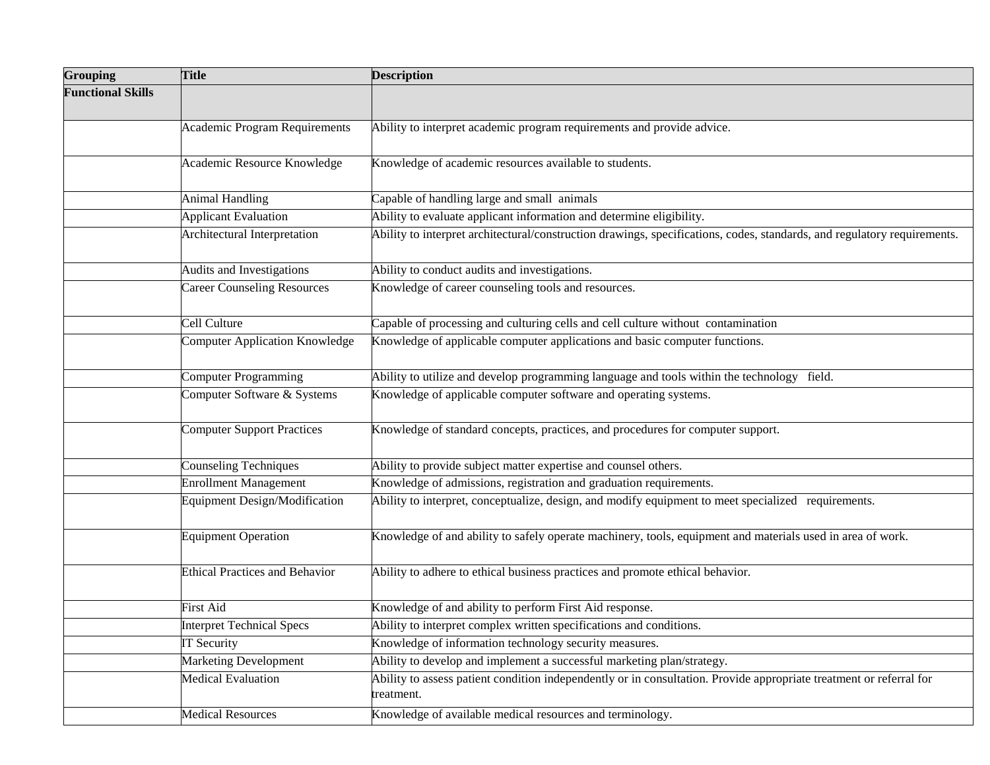| <b>Grouping</b>          | <b>Title</b>                          | <b>Description</b>                                                                                                                |
|--------------------------|---------------------------------------|-----------------------------------------------------------------------------------------------------------------------------------|
| <b>Functional Skills</b> |                                       |                                                                                                                                   |
|                          | <b>Academic Program Requirements</b>  | Ability to interpret academic program requirements and provide advice.                                                            |
|                          | Academic Resource Knowledge           | Knowledge of academic resources available to students.                                                                            |
|                          | <b>Animal Handling</b>                | Capable of handling large and small animals                                                                                       |
|                          | <b>Applicant Evaluation</b>           | Ability to evaluate applicant information and determine eligibility.                                                              |
|                          | Architectural Interpretation          | Ability to interpret architectural/construction drawings, specifications, codes, standards, and regulatory requirements.          |
|                          | Audits and Investigations             | Ability to conduct audits and investigations.                                                                                     |
|                          | <b>Career Counseling Resources</b>    | Knowledge of career counseling tools and resources.                                                                               |
|                          | Cell Culture                          | Capable of processing and culturing cells and cell culture without contamination                                                  |
|                          | <b>Computer Application Knowledge</b> | Knowledge of applicable computer applications and basic computer functions.                                                       |
|                          | <b>Computer Programming</b>           | Ability to utilize and develop programming language and tools within the technology field.                                        |
|                          | Computer Software & Systems           | Knowledge of applicable computer software and operating systems.                                                                  |
|                          | <b>Computer Support Practices</b>     | Knowledge of standard concepts, practices, and procedures for computer support.                                                   |
|                          | <b>Counseling Techniques</b>          | Ability to provide subject matter expertise and counsel others.                                                                   |
|                          | <b>Enrollment Management</b>          | Knowledge of admissions, registration and graduation requirements.                                                                |
|                          | <b>Equipment Design/Modification</b>  | Ability to interpret, conceptualize, design, and modify equipment to meet specialized requirements.                               |
|                          | <b>Equipment Operation</b>            | Knowledge of and ability to safely operate machinery, tools, equipment and materials used in area of work.                        |
|                          | <b>Ethical Practices and Behavior</b> | Ability to adhere to ethical business practices and promote ethical behavior.                                                     |
|                          | First Aid                             | Knowledge of and ability to perform First Aid response.                                                                           |
|                          | <b>Interpret Technical Specs</b>      | Ability to interpret complex written specifications and conditions.                                                               |
|                          | <b>IT Security</b>                    | Knowledge of information technology security measures.                                                                            |
|                          | <b>Marketing Development</b>          | Ability to develop and implement a successful marketing plan/strategy.                                                            |
|                          | <b>Medical Evaluation</b>             | Ability to assess patient condition independently or in consultation. Provide appropriate treatment or referral for<br>treatment. |
|                          | <b>Medical Resources</b>              | Knowledge of available medical resources and terminology.                                                                         |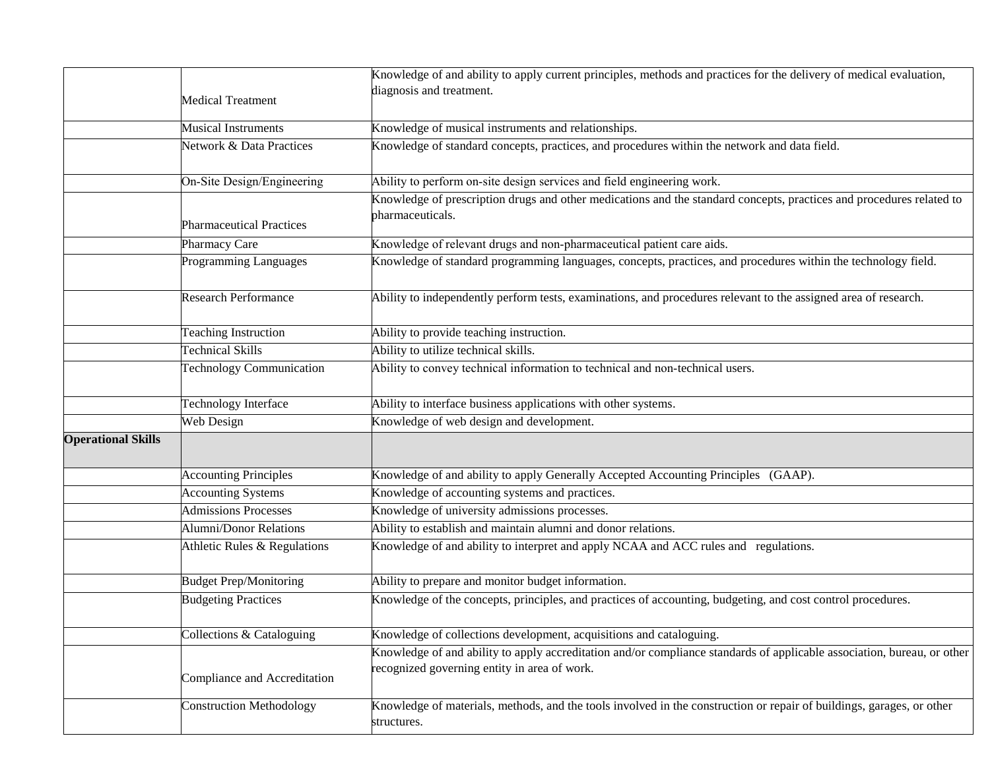|                           |                                 | Knowledge of and ability to apply current principles, methods and practices for the delivery of medical evaluation,                                                     |
|---------------------------|---------------------------------|-------------------------------------------------------------------------------------------------------------------------------------------------------------------------|
|                           |                                 | diagnosis and treatment.                                                                                                                                                |
|                           | <b>Medical Treatment</b>        |                                                                                                                                                                         |
|                           | <b>Musical Instruments</b>      | Knowledge of musical instruments and relationships.                                                                                                                     |
|                           | Network & Data Practices        | Knowledge of standard concepts, practices, and procedures within the network and data field.                                                                            |
|                           |                                 |                                                                                                                                                                         |
|                           | On-Site Design/Engineering      | Ability to perform on-site design services and field engineering work.                                                                                                  |
|                           |                                 | Knowledge of prescription drugs and other medications and the standard concepts, practices and procedures related to                                                    |
|                           | <b>Pharmaceutical Practices</b> | pharmaceuticals.                                                                                                                                                        |
|                           | Pharmacy Care                   | Knowledge of relevant drugs and non-pharmaceutical patient care aids.                                                                                                   |
|                           | Programming Languages           | Knowledge of standard programming languages, concepts, practices, and procedures within the technology field.                                                           |
|                           | <b>Research Performance</b>     | Ability to independently perform tests, examinations, and procedures relevant to the assigned area of research.                                                         |
|                           |                                 |                                                                                                                                                                         |
|                           | <b>Teaching Instruction</b>     | Ability to provide teaching instruction.                                                                                                                                |
|                           | <b>Technical Skills</b>         | Ability to utilize technical skills.                                                                                                                                    |
|                           | <b>Technology Communication</b> | Ability to convey technical information to technical and non-technical users.                                                                                           |
|                           | <b>Technology Interface</b>     | Ability to interface business applications with other systems.                                                                                                          |
|                           | Web Design                      | Knowledge of web design and development.                                                                                                                                |
| <b>Operational Skills</b> |                                 |                                                                                                                                                                         |
|                           | <b>Accounting Principles</b>    | Knowledge of and ability to apply Generally Accepted Accounting Principles (GAAP).                                                                                      |
|                           | <b>Accounting Systems</b>       | Knowledge of accounting systems and practices.                                                                                                                          |
|                           | <b>Admissions Processes</b>     | Knowledge of university admissions processes.                                                                                                                           |
|                           | <b>Alumni/Donor Relations</b>   | Ability to establish and maintain alumni and donor relations.                                                                                                           |
|                           | Athletic Rules & Regulations    | Knowledge of and ability to interpret and apply NCAA and ACC rules and regulations.                                                                                     |
|                           | <b>Budget Prep/Monitoring</b>   | Ability to prepare and monitor budget information.                                                                                                                      |
|                           | <b>Budgeting Practices</b>      | Knowledge of the concepts, principles, and practices of accounting, budgeting, and cost control procedures.                                                             |
|                           |                                 |                                                                                                                                                                         |
|                           | Collections & Cataloguing       | Knowledge of collections development, acquisitions and cataloguing.                                                                                                     |
|                           | Compliance and Accreditation    | Knowledge of and ability to apply accreditation and/or compliance standards of applicable association, bureau, or other<br>recognized governing entity in area of work. |
|                           | <b>Construction Methodology</b> | Knowledge of materials, methods, and the tools involved in the construction or repair of buildings, garages, or other<br>structures.                                    |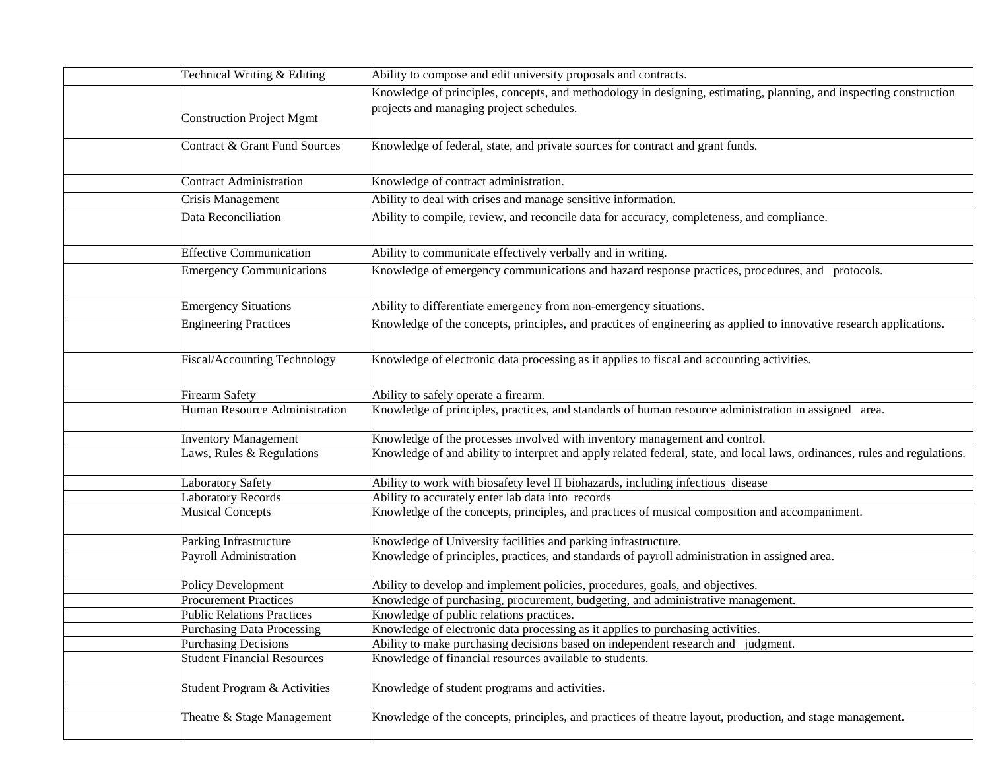| Technical Writing & Editing         | Ability to compose and edit university proposals and contracts.                                                            |
|-------------------------------------|----------------------------------------------------------------------------------------------------------------------------|
|                                     | Knowledge of principles, concepts, and methodology in designing, estimating, planning, and inspecting construction         |
|                                     | projects and managing project schedules.                                                                                   |
| <b>Construction Project Mgmt</b>    |                                                                                                                            |
| Contract & Grant Fund Sources       | Knowledge of federal, state, and private sources for contract and grant funds.                                             |
|                                     |                                                                                                                            |
| <b>Contract Administration</b>      | Knowledge of contract administration.                                                                                      |
| Crisis Management                   | Ability to deal with crises and manage sensitive information.                                                              |
| Data Reconciliation                 | Ability to compile, review, and reconcile data for accuracy, completeness, and compliance.                                 |
|                                     |                                                                                                                            |
| <b>Effective Communication</b>      | Ability to communicate effectively verbally and in writing.                                                                |
| <b>Emergency Communications</b>     | Knowledge of emergency communications and hazard response practices, procedures, and protocols.                            |
|                                     |                                                                                                                            |
| <b>Emergency Situations</b>         | Ability to differentiate emergency from non-emergency situations.                                                          |
| <b>Engineering Practices</b>        | Knowledge of the concepts, principles, and practices of engineering as applied to innovative research applications.        |
|                                     |                                                                                                                            |
| <b>Fiscal/Accounting Technology</b> | Knowledge of electronic data processing as it applies to fiscal and accounting activities.                                 |
|                                     |                                                                                                                            |
| <b>Firearm Safety</b>               | Ability to safely operate a firearm.                                                                                       |
| Human Resource Administration       | Knowledge of principles, practices, and standards of human resource administration in assigned area.                       |
|                                     |                                                                                                                            |
| <b>Inventory Management</b>         | Knowledge of the processes involved with inventory management and control.                                                 |
| Laws, Rules & Regulations           | Knowledge of and ability to interpret and apply related federal, state, and local laws, ordinances, rules and regulations. |
|                                     |                                                                                                                            |
| Laboratory Safety                   | Ability to work with biosafety level II biohazards, including infectious disease                                           |
| <b>Laboratory Records</b>           | Ability to accurately enter lab data into records                                                                          |
| <b>Musical Concepts</b>             | Knowledge of the concepts, principles, and practices of musical composition and accompaniment.                             |
| Parking Infrastructure              | Knowledge of University facilities and parking infrastructure.                                                             |
| Payroll Administration              | Knowledge of principles, practices, and standards of payroll administration in assigned area.                              |
|                                     |                                                                                                                            |
| Policy Development                  | Ability to develop and implement policies, procedures, goals, and objectives.                                              |
| <b>Procurement Practices</b>        | Knowledge of purchasing, procurement, budgeting, and administrative management.                                            |
| <b>Public Relations Practices</b>   | Knowledge of public relations practices.                                                                                   |
| <b>Purchasing Data Processing</b>   | Knowledge of electronic data processing as it applies to purchasing activities.                                            |
| <b>Purchasing Decisions</b>         | Ability to make purchasing decisions based on independent research and judgment.                                           |
| <b>Student Financial Resources</b>  | Knowledge of financial resources available to students.                                                                    |
| Student Program & Activities        | Knowledge of student programs and activities.                                                                              |
|                                     |                                                                                                                            |
| Theatre & Stage Management          | Knowledge of the concepts, principles, and practices of theatre layout, production, and stage management.                  |
|                                     |                                                                                                                            |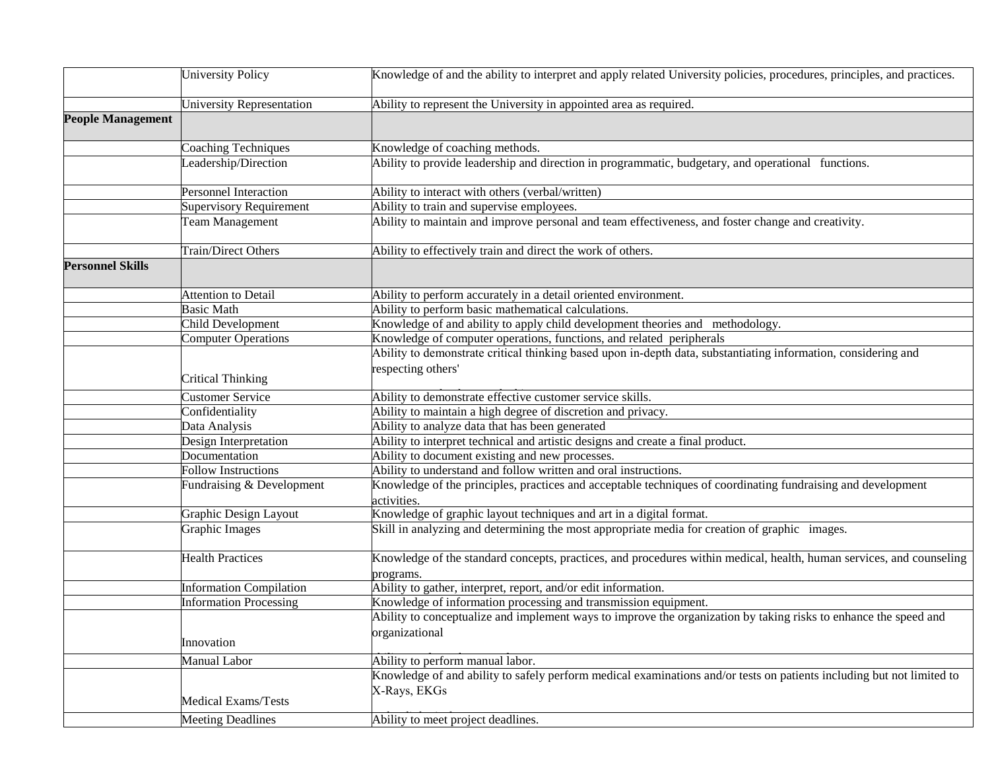|                          | <b>University Policy</b>       | Knowledge of and the ability to interpret and apply related University policies, procedures, principles, and practices.               |
|--------------------------|--------------------------------|---------------------------------------------------------------------------------------------------------------------------------------|
|                          | University Representation      | Ability to represent the University in appointed area as required.                                                                    |
| <b>People Management</b> |                                |                                                                                                                                       |
|                          | <b>Coaching Techniques</b>     | Knowledge of coaching methods.                                                                                                        |
|                          | Leadership/Direction           | Ability to provide leadership and direction in programmatic, budgetary, and operational functions.                                    |
|                          | <b>Personnel Interaction</b>   | Ability to interact with others (verbal/written)                                                                                      |
|                          | Supervisory Requirement        | Ability to train and supervise employees.                                                                                             |
|                          | Team Management                | Ability to maintain and improve personal and team effectiveness, and foster change and creativity.                                    |
|                          | Train/Direct Others            | Ability to effectively train and direct the work of others.                                                                           |
| <b>Personnel Skills</b>  |                                |                                                                                                                                       |
|                          | Attention to Detail            | Ability to perform accurately in a detail oriented environment.                                                                       |
|                          | <b>Basic Math</b>              | Ability to perform basic mathematical calculations.                                                                                   |
|                          | Child Development              | Knowledge of and ability to apply child development theories and methodology.                                                         |
|                          | <b>Computer Operations</b>     | Knowledge of computer operations, functions, and related peripherals                                                                  |
|                          |                                | Ability to demonstrate critical thinking based upon in-depth data, substantiating information, considering and                        |
|                          | <b>Critical Thinking</b>       | respecting others'                                                                                                                    |
|                          | <b>Customer Service</b>        | Ability to demonstrate effective customer service skills.                                                                             |
|                          | Confidentiality                | Ability to maintain a high degree of discretion and privacy.                                                                          |
|                          | Data Analysis                  | Ability to analyze data that has been generated                                                                                       |
|                          | Design Interpretation          | Ability to interpret technical and artistic designs and create a final product.                                                       |
|                          | Documentation                  | Ability to document existing and new processes.                                                                                       |
|                          | <b>Follow Instructions</b>     | Ability to understand and follow written and oral instructions.                                                                       |
|                          | Fundraising & Development      | Knowledge of the principles, practices and acceptable techniques of coordinating fundraising and development<br>activities.           |
|                          | Graphic Design Layout          | Knowledge of graphic layout techniques and art in a digital format.                                                                   |
|                          | Graphic Images                 | Skill in analyzing and determining the most appropriate media for creation of graphic images.                                         |
|                          | <b>Health Practices</b>        | Knowledge of the standard concepts, practices, and procedures within medical, health, human services, and counseling<br>programs.     |
|                          | <b>Information Compilation</b> | Ability to gather, interpret, report, and/or edit information.                                                                        |
|                          | <b>Information Processing</b>  | Knowledge of information processing and transmission equipment.                                                                       |
|                          |                                | Ability to conceptualize and implement ways to improve the organization by taking risks to enhance the speed and                      |
|                          | Innovation                     | organizational                                                                                                                        |
|                          | Manual Labor                   | Ability to perform manual labor.                                                                                                      |
|                          | <b>Medical Exams/Tests</b>     | Knowledge of and ability to safely perform medical examinations and/or tests on patients including but not limited to<br>X-Rays, EKGs |
|                          | <b>Meeting Deadlines</b>       | Ability to meet project deadlines.                                                                                                    |